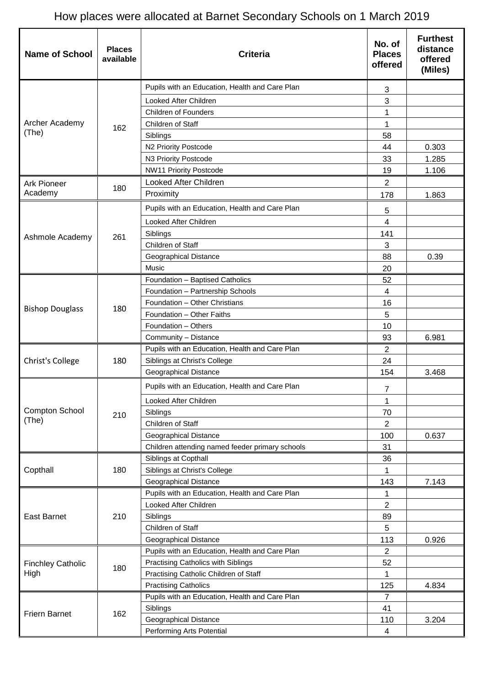## How places were allocated at Barnet Secondary Schools on 1 March 2019

| <b>Name of School</b>            | <b>Places</b><br>available | <b>Criteria</b>                                 | No. of<br><b>Places</b><br>offered | <b>Furthest</b><br>distance<br>offered<br>(Miles) |
|----------------------------------|----------------------------|-------------------------------------------------|------------------------------------|---------------------------------------------------|
|                                  |                            | Pupils with an Education, Health and Care Plan  | 3                                  |                                                   |
|                                  |                            | Looked After Children                           | 3                                  |                                                   |
|                                  |                            | <b>Children of Founders</b>                     | 1                                  |                                                   |
| Archer Academy                   | 162                        | Children of Staff                               | 1                                  |                                                   |
| (The)                            |                            | Siblings                                        | 58                                 |                                                   |
|                                  |                            | N2 Priority Postcode                            | 44                                 | 0.303                                             |
|                                  |                            | N3 Priority Postcode                            | 33                                 | 1.285                                             |
|                                  |                            | <b>NW11 Priority Postcode</b>                   | 19                                 | 1.106                                             |
| <b>Ark Pioneer</b>               |                            | Looked After Children                           | 2                                  |                                                   |
| Academy                          | 180                        | Proximity                                       | 178                                | 1.863                                             |
|                                  |                            | Pupils with an Education, Health and Care Plan  | 5                                  |                                                   |
|                                  |                            | Looked After Children                           | $\overline{4}$                     |                                                   |
| Ashmole Academy                  | 261                        | Siblings                                        | 141                                |                                                   |
|                                  |                            | Children of Staff                               | 3                                  |                                                   |
|                                  |                            | Geographical Distance                           | 88                                 | 0.39                                              |
|                                  |                            | Music                                           | 20                                 |                                                   |
|                                  |                            | Foundation - Baptised Catholics                 | 52                                 |                                                   |
|                                  |                            | Foundation - Partnership Schools                | $\overline{4}$                     |                                                   |
|                                  |                            | Foundation - Other Christians                   | 16                                 |                                                   |
| <b>Bishop Douglass</b>           | 180                        | Foundation - Other Faiths                       | 5                                  |                                                   |
|                                  |                            | Foundation - Others                             | 10                                 |                                                   |
|                                  |                            | Community - Distance                            | 93                                 | 6.981                                             |
|                                  | 180                        | Pupils with an Education, Health and Care Plan  | $\overline{2}$                     |                                                   |
| Christ's College                 |                            | Siblings at Christ's College                    | 24                                 |                                                   |
|                                  |                            | Geographical Distance                           | 154                                | 3.468                                             |
|                                  |                            | Pupils with an Education, Health and Care Plan  | $\overline{7}$                     |                                                   |
|                                  |                            | Looked After Children                           | 1                                  |                                                   |
| Compton School                   | 210                        | Siblings                                        | 70                                 |                                                   |
| (The)                            |                            | Children of Staff                               | $\overline{2}$                     |                                                   |
|                                  |                            | Geographical Distance                           | 100                                | 0.637                                             |
|                                  |                            | Children attending named feeder primary schools | 31                                 |                                                   |
|                                  | 180                        | Siblings at Copthall                            | 36                                 |                                                   |
| Copthall                         |                            | Siblings at Christ's College                    | 1                                  |                                                   |
|                                  |                            | <b>Geographical Distance</b>                    | 143                                | 7.143                                             |
|                                  | 210                        | Pupils with an Education, Health and Care Plan  | 1                                  |                                                   |
|                                  |                            | Looked After Children                           | $\overline{2}$                     |                                                   |
| East Barnet                      |                            | Siblings                                        | 89                                 |                                                   |
|                                  |                            | Children of Staff                               | 5                                  |                                                   |
|                                  |                            | Geographical Distance                           | 113                                | 0.926                                             |
|                                  |                            | Pupils with an Education, Health and Care Plan  | $\overline{2}$                     |                                                   |
| <b>Finchley Catholic</b><br>High | 180                        | Practising Catholics with Siblings              | 52                                 |                                                   |
|                                  |                            | Practising Catholic Children of Staff           | 1                                  |                                                   |
|                                  |                            | <b>Practising Catholics</b>                     | 125                                | 4.834                                             |
| <b>Friern Barnet</b>             |                            | Pupils with an Education, Health and Care Plan  | 7                                  |                                                   |
|                                  | 162                        | Siblings                                        | 41                                 |                                                   |
|                                  |                            | <b>Geographical Distance</b>                    | 110                                | 3.204                                             |
|                                  |                            | Performing Arts Potential                       | 4                                  |                                                   |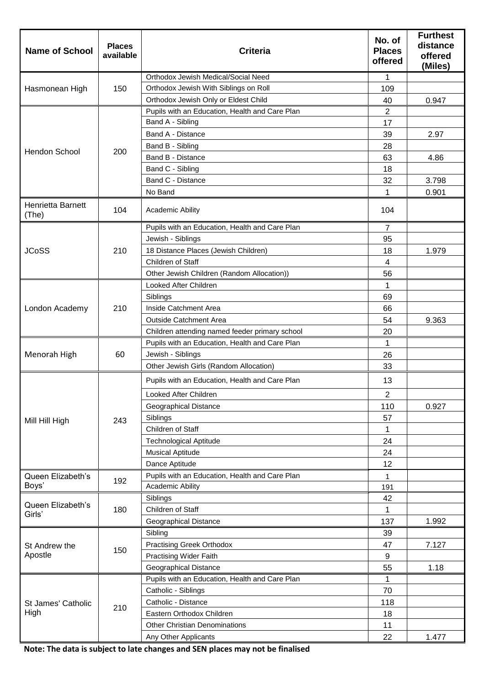| <b>Name of School</b>      | <b>Places</b><br>available | <b>Criteria</b>                                | No. of<br><b>Places</b><br>offered                                                                                                                                                    | <b>Furthest</b><br>distance<br>offered<br>(Miles) |
|----------------------------|----------------------------|------------------------------------------------|---------------------------------------------------------------------------------------------------------------------------------------------------------------------------------------|---------------------------------------------------|
|                            |                            | Orthodox Jewish Medical/Social Need            | 1<br>109<br>40<br>2<br>17<br>39<br>28<br>63<br>18<br>32<br>1<br>104<br>$\overline{7}$<br>95<br>18<br>4<br>56<br>1<br>69<br>66<br>54<br>20<br>1<br>26<br>33<br>13<br>$\sqrt{2}$<br>110 |                                                   |
| Hasmonean High             | 150                        | Orthodox Jewish With Siblings on Roll          |                                                                                                                                                                                       |                                                   |
|                            |                            | Orthodox Jewish Only or Eldest Child           |                                                                                                                                                                                       | 0.947                                             |
|                            |                            | Pupils with an Education, Health and Care Plan |                                                                                                                                                                                       |                                                   |
|                            |                            | Band A - Sibling                               |                                                                                                                                                                                       |                                                   |
|                            | 200                        | Band A - Distance                              |                                                                                                                                                                                       | 2.97                                              |
| Hendon School              |                            | Band B - Sibling                               |                                                                                                                                                                                       |                                                   |
|                            |                            | Band B - Distance                              |                                                                                                                                                                                       | 4.86                                              |
|                            |                            | Band C - Sibling                               |                                                                                                                                                                                       |                                                   |
|                            |                            | Band C - Distance                              |                                                                                                                                                                                       | 3.798                                             |
|                            |                            | No Band                                        |                                                                                                                                                                                       | 0.901                                             |
| Henrietta Barnett<br>(The) | 104                        | <b>Academic Ability</b>                        |                                                                                                                                                                                       |                                                   |
|                            |                            | Pupils with an Education, Health and Care Plan |                                                                                                                                                                                       |                                                   |
|                            |                            | Jewish - Siblings                              |                                                                                                                                                                                       |                                                   |
| <b>JCoSS</b>               | 210                        | 18 Distance Places (Jewish Children)           |                                                                                                                                                                                       | 1.979                                             |
|                            |                            | Children of Staff                              |                                                                                                                                                                                       |                                                   |
|                            |                            | Other Jewish Children (Random Allocation))     |                                                                                                                                                                                       |                                                   |
|                            |                            | Looked After Children                          |                                                                                                                                                                                       |                                                   |
|                            |                            | Siblings                                       |                                                                                                                                                                                       |                                                   |
| London Academy             | 210                        | Inside Catchment Area                          |                                                                                                                                                                                       |                                                   |
|                            |                            | <b>Outside Catchment Area</b>                  |                                                                                                                                                                                       | 9.363                                             |
|                            |                            | Children attending named feeder primary school |                                                                                                                                                                                       |                                                   |
|                            |                            | Pupils with an Education, Health and Care Plan |                                                                                                                                                                                       |                                                   |
| Menorah High               | 60                         | Jewish - Siblings                              |                                                                                                                                                                                       |                                                   |
|                            |                            | Other Jewish Girls (Random Allocation)         |                                                                                                                                                                                       |                                                   |
|                            |                            | Pupils with an Education, Health and Care Plan |                                                                                                                                                                                       |                                                   |
|                            |                            | Looked After Children                          |                                                                                                                                                                                       |                                                   |
|                            |                            | Geographical Distance                          |                                                                                                                                                                                       | 0.927                                             |
| Mill Hill High             | 243                        | Siblings                                       | 57                                                                                                                                                                                    |                                                   |
|                            |                            | Children of Staff                              | 1                                                                                                                                                                                     |                                                   |
|                            |                            | <b>Technological Aptitude</b>                  | 24                                                                                                                                                                                    |                                                   |
|                            |                            | <b>Musical Aptitude</b>                        | 24                                                                                                                                                                                    |                                                   |
|                            |                            | Dance Aptitude                                 | 12                                                                                                                                                                                    |                                                   |
| Queen Elizabeth's          | 192                        | Pupils with an Education, Health and Care Plan | $\mathbf{1}$                                                                                                                                                                          |                                                   |
| Boys'                      |                            | <b>Academic Ability</b>                        | 191                                                                                                                                                                                   |                                                   |
| Queen Elizabeth's          | 180                        | Siblings                                       | 42                                                                                                                                                                                    |                                                   |
| Girls'                     |                            | Children of Staff                              | 1                                                                                                                                                                                     |                                                   |
|                            |                            | Geographical Distance                          | 137                                                                                                                                                                                   | 1.992                                             |
|                            | 150                        | Sibling                                        | 39                                                                                                                                                                                    |                                                   |
| St Andrew the              |                            | <b>Practising Greek Orthodox</b>               | 47                                                                                                                                                                                    | 7.127                                             |
| Apostle                    |                            | <b>Practising Wider Faith</b>                  | 9                                                                                                                                                                                     |                                                   |
|                            |                            | Geographical Distance                          | 55                                                                                                                                                                                    | 1.18                                              |
| St James' Catholic<br>High | 210                        | Pupils with an Education, Health and Care Plan | 1                                                                                                                                                                                     |                                                   |
|                            |                            | Catholic - Siblings                            | 70                                                                                                                                                                                    |                                                   |
|                            |                            | Catholic - Distance                            | 118                                                                                                                                                                                   |                                                   |
|                            |                            | Eastern Orthodox Children                      | 18                                                                                                                                                                                    |                                                   |
|                            |                            | <b>Other Christian Denominations</b>           | 11                                                                                                                                                                                    |                                                   |
|                            |                            | Any Other Applicants                           | 22                                                                                                                                                                                    | 1.477                                             |